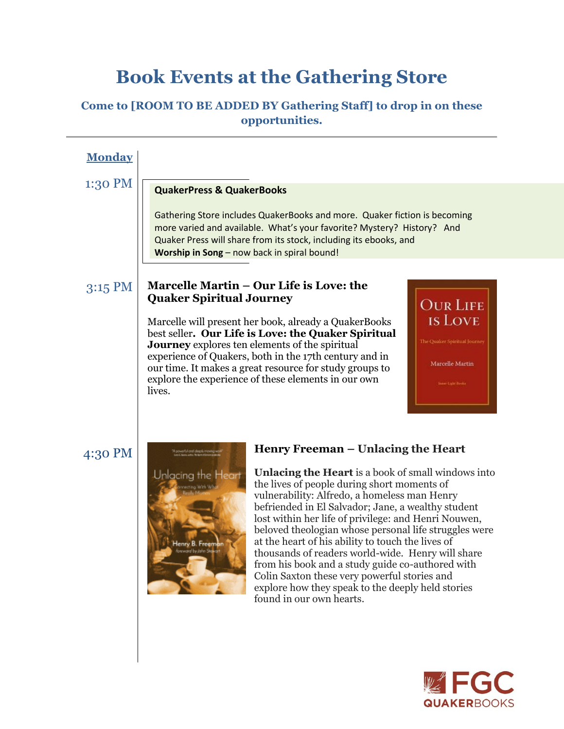# **Book Events at the Gathering Store**

# **Come to [ROOM TO BE ADDED BY Gathering Staff] to drop in on these opportunities.**

| <b>Monday</b> |                                                                                                                                                                                                                                                                                                                                                                                                                                                                                                                                                                                                                                                                                                                                                                |
|---------------|----------------------------------------------------------------------------------------------------------------------------------------------------------------------------------------------------------------------------------------------------------------------------------------------------------------------------------------------------------------------------------------------------------------------------------------------------------------------------------------------------------------------------------------------------------------------------------------------------------------------------------------------------------------------------------------------------------------------------------------------------------------|
| 1:30 PM       | <b>QuakerPress &amp; QuakerBooks</b>                                                                                                                                                                                                                                                                                                                                                                                                                                                                                                                                                                                                                                                                                                                           |
|               | Gathering Store includes QuakerBooks and more. Quaker fiction is becoming<br>more varied and available. What's your favorite? Mystery? History? And<br>Quaker Press will share from its stock, including its ebooks, and<br>Worship in Song - now back in spiral bound!                                                                                                                                                                                                                                                                                                                                                                                                                                                                                        |
| 3:15 PM       | Marcelle Martin - Our Life is Love: the<br><b>Quaker Spiritual Journey</b><br><b>OUR LIFE</b><br><b>IS LOVE</b><br>Marcelle will present her book, already a QuakerBooks                                                                                                                                                                                                                                                                                                                                                                                                                                                                                                                                                                                       |
|               | best seller. Our Life is Love: the Quaker Spiritual<br>The Quaker Spiritual Journey<br><b>Journey</b> explores ten elements of the spiritual<br>experience of Quakers, both in the 17th century and in<br>Marcelle Martin<br>our time. It makes a great resource for study groups to<br>explore the experience of these elements in our own<br>Inter Latit Sooks<br>lives.                                                                                                                                                                                                                                                                                                                                                                                     |
| 4:30 PM       | Henry Freeman – Unlacing the Heart<br>en lekomat obegoly enow.<br>Linka in den station<br><b>Unlacing the Heart</b> is a book of small windows into<br>Unlacing the Heart<br>the lives of people during short moments of<br>vulnerability: Alfredo, a homeless man Henry<br>befriended in El Salvador; Jane, a wealthy student<br>lost within her life of privilege: and Henri Nouwen,<br>beloved theologian whose personal life struggles were<br>at the heart of his ability to touch the lives of<br>Henry B. Fre<br>thousands of readers world-wide. Henry will share<br>from his book and a study guide co-authored with<br>Colin Saxton these very powerful stories and<br>explore how they speak to the deeply held stories<br>found in our own hearts. |

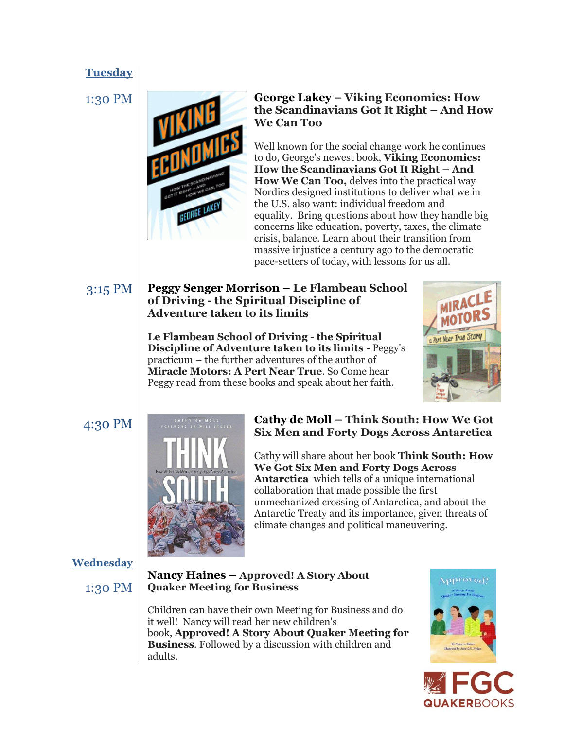# **Tuesday**



### 1:30 PM **George Lakey – Viking Economics: How the Scandinavians Got It Right – And How We Can Too**

Well known for the social change work he continues to do, George's newest book, **Viking Economics: How the Scandinavians Got It Right – And How We Can Too,** delves into the practical way Nordics designed institutions to deliver what we in the U.S. also want: individual freedom and equality. Bring questions about how they handle big concerns like education, poverty, taxes, the climate crisis, balance. Learn about their transition from massive injustice a century ago to the democratic pace-setters of today, with lessons for us all.

#### 3:15 PM **Peggy Senger Morrison – Le Flambeau School of Driving - the Spiritual Discipline of Adventure taken to its limits**

**Le Flambeau School of Driving - the Spiritual Discipline of Adventure taken to its limits** - Peggy's practicum – the further adventures of the author of **Miracle Motors: A Pert Near True**. So Come hear Peggy read from these books and speak about her faith.





# 4:30 PM **Cathy de Moll – Think South: How We Got Six Men and Forty Dogs Across Antarctica**

Cathy will share about her book **Think South: How We Got Six Men and Forty Dogs Across Antarctica** which tells of a unique international collaboration that made possible the first unmechanized crossing of Antarctica, and about the Antarctic Treaty and its importance, given threats of climate changes and political maneuvering.

#### **Wednesday**

1:30 PM

#### **Nancy Haines – Approved! A Story About Quaker Meeting for Business**

Children can have their own Meeting for Business and do it well! Nancy will read her new children's book, **Approved! A Story About Quaker Meeting for Business**. Followed by a discussion with children and adults.



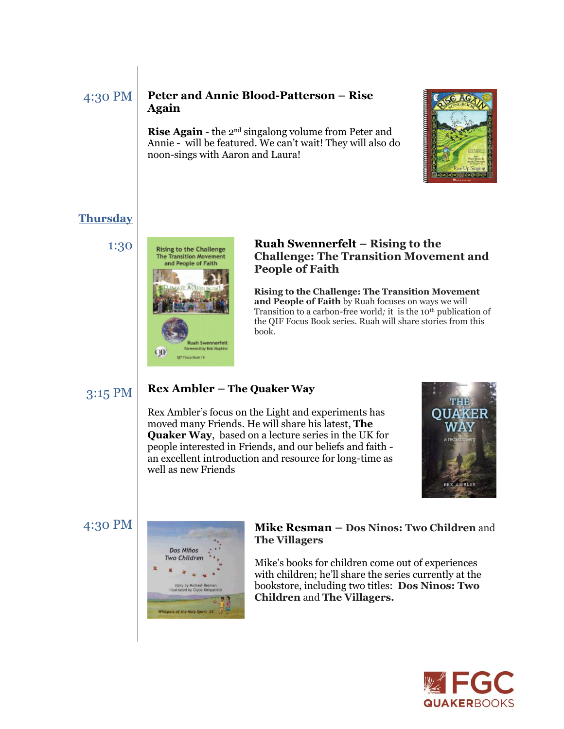#### 4:30 PM **Peter and Annie Blood-Patterson – Rise Again**

**Rise Again** - the 2<sup>nd</sup> singalong volume from Peter and Annie - will be featured. We can't wait! They will also do noon-sings with Aaron and Laura!



# **Thursday**



#### 1:30 **Ruah Swennerfelt – Rising to the Challenge <b>Ruah Swennerfelt** – Rising to the **Challenge: The Transition Movement and People of Faith**

**Rising to the Challenge: The Transition Movement and People of Faith** by Ruah focuses on ways we will Transition to a carbon-free world*;* it is the 10th publication of the QIF Focus Book series. Ruah will share stories from this book.

# 3:15 PM

#### **Rex Ambler – The Quaker Way**

Rex Ambler's focus on the Light and experiments has moved many Friends. He will share his latest, **The Quaker Way**, based on a lecture series in the UK for people interested in Friends, and our beliefs and faith an excellent introduction and resource for long-time as well as new Friends



#### 4:30 PM



#### **Mike Resman – Dos Ninos: Two Children** and **The Villagers**

Mike's books for children come out of experiences with children; he'll share the series currently at the bookstore, including two titles: **Dos Ninos: Two Children** and **The Villagers.**